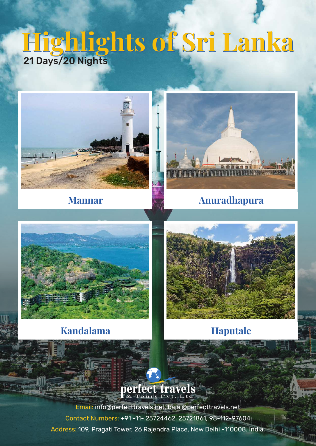# **Highlights of Sri Lanka Highlights of Sri Lanka** 21 Days/20 Nights





## **Mannar Anuradhapura**



## **Kandalama Haputale**



# perfect travels

minning.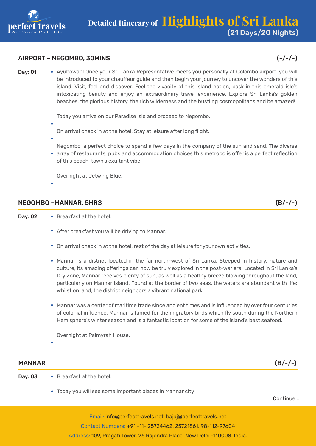

#### AIRPORT – NEGOMBO, 30MINS (-/-/-)

| Day: 01 | * Ayubowan! Once your Sri Lanka Representative meets you personally at Colombo airport. you will<br>be introduced to your chauffeur guide and then begin your journey to uncover the wonders of this<br>island. Visit, feel and discover. Feel the vivacity of this island nation, bask in this emerald isle's<br>intoxicating beauty and enjoy an extraordinary travel experience. Explore Sri Lanka's golden<br>beaches, the glorious history, the rich wilderness and the bustling cosmopolitans and be amazed! |
|---------|--------------------------------------------------------------------------------------------------------------------------------------------------------------------------------------------------------------------------------------------------------------------------------------------------------------------------------------------------------------------------------------------------------------------------------------------------------------------------------------------------------------------|
|         | Today you arrive on our Paradise isle and proceed to Negombo.<br>On arrival check in at the hotel, Stay at leisure after long flight.                                                                                                                                                                                                                                                                                                                                                                              |
|         | Negombo, a perfect choice to spend a few days in the company of the sun and sand. The diverse<br>• array of restaurants, pubs and accommodation choices this metropolis offer is a perfect reflection<br>of this beach-town's exultant vibe.                                                                                                                                                                                                                                                                       |
|         | Overnight at Jetwing Blue.                                                                                                                                                                                                                                                                                                                                                                                                                                                                                         |

#### NEGOMBO –MANNAR, 5HRS (B/-/-)

| 02 (Oay: |  |
|----------|--|

Dav:  $02 \rightarrow$  Breakfast at the hotel.

- After breakfast you will be driving to Mannar.
- On arrival check in at the hotel, rest of the day at leisure for your own activities.
- Mannar is a district located in the far north-west of Sri Lanka. Steeped in history, nature and culture, its amazing offerings can now be truly explored in the post-war era. Located in Sri Lanka's Dry Zone, Mannar receives plenty of sun, as well as a healthy breeze blowing throughout the land, particularly on Mannar Island. Found at the border of two seas, the waters are abundant with life; whilst on land, the district neighbors a vibrant national park.
- Mannar was a center of maritime trade since ancient times and is influenced by over four centuries of colonial influence. Mannar is famed for the migratory birds which fly south during the Northern Hemisphere's winter season and is a fantastic location for some of the island's best seafood.

Overnight at Palmyrah House.

#### MANNAR (B/-/-)

- Day:  $03 \rightarrow$  Breakfast at the hotel.
	- Today you will see some important places in Mannar city

Continue...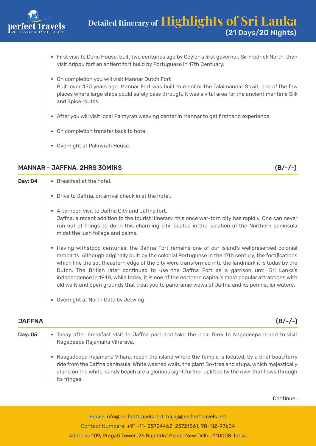

- First visit to Doric House, built two centuries ago by Ceylon's first governor, Sir Fredrick North, then visit Arippu fort an antient fort build by Portuguese in 17th Centuary.
- On completion you will visit Mannar Dutch Fort Built over 450 years ago, Mannar Fort was built to monitor the Talaimannar Strait, one of the few places where large ships could safely pass through. It was a vital area for the ancient maritime Silk and Spice routes.
- After you will visit local Palmyrah weaving center in Mannar to get firsthand experience.
- On completion transfer back to hotel.
- Overnight at Palmyrah House.

### MANNAR - JAFFNA, 2HRS 30MINS (B/-/-)

- **Day: 04**  $\rightarrow$  Breakfast at the hotel. Drive to Jaffna, on arrival check in at the hotel. Afternoon visit to Jaffna City and Jaffna fort. Jaffna, a recent addition to the tourist itinerary, this once war-torn city has rapidly. One can never run out of things-to-do in this charming city located in the isolation of the Northern peninsula midst the lush foliage and palms. Having withstood centuries, the Jaffna Fort remains one of our island's wellpreserved colonial ramparts. Although originally built by the colonial Portuguese in the 17th century, the fortifications which line the southeastern edge of the city were transformed into the landmark it is today by the
	- Dutch. The British later continued to use the Jaffna Fort as a garrison until Sri Lanka's independence in 1948, while today, it is one of the northern capital's most popular attractions with old walls and open grounds that treat you to panoramic views of Jaffna and its peninsular waters.
	- Overnight at North Gate by Jetwing

#### JAFFNA (B/-/-)

- **Day: 05**  $\rightarrow$  Today after breakfast visit to Jaffna port and take the local ferry to Nagadeepa Island to visit Nagadeepa Rajamaha Viharaya.
	- Naagadeepa Rajamaha Vihara, reach the island where the temple is located, by a brief boat/ferry ride from the Jaffna peninsula. White washed walls, the giant Bo-tree and stupa, which majestically stand on the white, sandy beach are a glorious sight.further uplifted by the river that flows through its fringes.

Continue...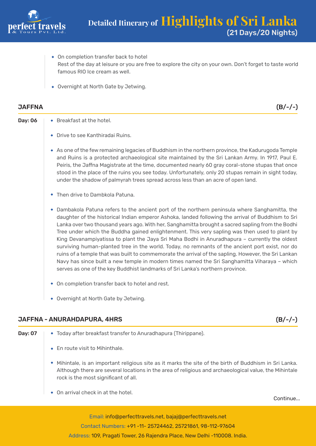

- On completion transfer back to hotel Rest of the day at leisure or you are free to explore the city on your own. Don't forget to taste world famous RIO Ice cream as well.
- Overnight at North Gate by Jetwing.

#### JAFFNA (B/-/-)

- Drive to see Kanthiradai Ruins.
- As one of the few remaining legacies of Buddhism in the northern province, the Kadurugoda Temple and Ruins is a protected archaeological site maintained by the Sri Lankan Army. In 1917, Paul E. Peiris, the Jaffna Magistrate at the time, documented nearly 60 gray coral-stone stupas that once stood in the place of the ruins you see today. Unfortunately, only 20 stupas remain in sight today, under the shadow of palmyrah trees spread across less than an acre of open land.
- Then drive to Dambkola Patuna.
- Dambakola Patuna refers to the ancient port of the northern peninsula where Sanghamitta, the daughter of the historical Indian emperor Ashoka, landed following the arrival of Buddhism to Sri Lanka over two thousand years ago. With her, Sanghamitta brought a sacred sapling from the Bodhi Tree under which the Buddha gained enlightenment. This very sapling was then used to plant by King Devanampiyatissa to plant the Jaya Sri Maha Bodhi in Anuradhapura – currently the oldest surviving human-planted tree in the world. Today, no remnants of the ancient port exist, nor do ruins of a temple that was built to commemorate the arrival of the sapling. However, the Sri Lankan Navy has since built a new temple in modern times named the Sri Sanghamitta Viharaya – which serves as one of the key Buddhist landmarks of Sri Lanka's northern province.
- On completion transfer back to hotel and rest.
- Overnight at North Gate by Jetwing.

### JAFFNA - ANURAHDAPURA, 4HRS (B/-/-)

- **Day: 07**  $\rightarrow$  Today after breakfast transfer to Anuradhapura (Thirippane).  $\bullet$  Fn route visit to Mihinthale. Mihintale, is an important religious site as it marks the site of the birth of Buddhism in Sri Lanka. Although there are several locations in the area of religious and archaeological value, the Mihintale rock is the most significant of all.
	- ◆ On arrival check in at the hotel

Continue...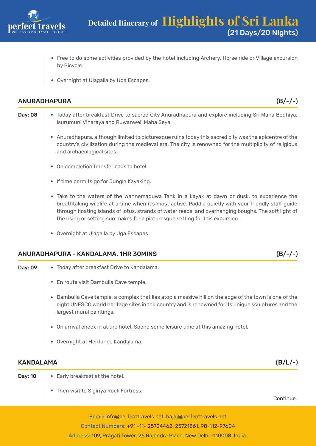

- Free to do some activities provided by the hotel including Archery, Horse ride or Village excursion by Bicycle.
- Overnight at Ulagalla by Uga Escapes.

#### ANURADHAPURA (B/-/-)

- Day: 08 |  $\bullet$  Today after breakfast Drive to sacred City Anuradhapura and explore including Sri Maha Bodhiya, Isurumuni Viharaya and Ruwanweli Maha Seya.
	- Anuradhapura, although limited to picturesque ruins today this sacred city was the epicentre of the country's civilization during the medieval era. The city is renowned for the multiplicity of religious and archaeological sites.
	- On completion transfer back to hotel.
	- **If time permits go for Jungle Kayaking.**
	- Take to the waters of the Wannemaduwa Tank in a kayak at dawn or dusk, to experience the breathtaking wildlife at a time when it's most active. Paddle quietly with your friendly staff guide through floating islands of lotus, strands of water reeds, and overhanging boughs. The soft light of the rising or setting sun makes for a picturesque setting for this excursion.
	- Overnight at Ulagalla by Uga Escapes.

#### ANURADHAPURA - KANDALAMA, 1HR 30MINS (B/-/-)

- Dav: 09 |  $\rightarrow$  Today after breakfast Drive to Kandalama.
	- En route visit Dambulla Cave temple.
	- Dambulla Cave temple, a complex that lies atop a massive hill on the edge of the town is one of the eight UNESCO world heritage sites in the country and is renowned for its unique sculptures and the largest mural paintings.
	- On arrival check in at the hotel, Spend some leisure time at this amazing hotel.
	- Overnight at Heritance Kandalama.

### KANDALAMA (B/L/-)

- 
- **Day: 10**  $\rightarrow$  Early breakfast at the hotel.
	- Then visit to Sigiriya Rock Fortress.

Continue...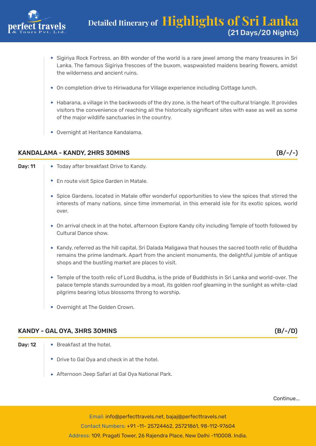

- Sigiriya Rock Fortress, an 8th wonder of the world is a rare jewel among the many treasures in Sri Lanka. The famous Sigiriya frescoes of the buxom, waspwaisted maidens bearing flowers, amidst the wilderness and ancient ruins.
- On completion drive to Hiriwaduna for Village experience including Cottage lunch.
- Habarana, a village in the backwoods of the dry zone, is the heart of the cultural triangle. It provides visitors the convenience of reaching all the historically significant sites with ease as well as some of the major wildlife sanctuaries in the country.
- Overnight at Heritance Kandalama.

#### KANDALAMA - KANDY, 2HRS 30MINS (B/-/-)

**Day: 11**  $\rightarrow$  Today after breakfast Drive to Kandy.

- En route visit Spice Garden in Matale.
- Spice Gardens, located in Matale offer wonderful opportunities to view the spices that stirred the interests of many nations, since time immemorial, in this emerald isle for its exotic spices, world over.
- On arrival check in at the hotel, afternoon Explore Kandy city including Temple of tooth followed by Cultural Dance show.
- \* Kandy, referred as the hill capital, Sri Dalada Maligawa that houses the sacred tooth relic of Buddha remains the prime landmark. Apart from the ancient monuments, the delightful jumble of antique shops and the bustling market are places to visit.
- Temple of the tooth relic of Lord Buddha, is the pride of Buddhists in Sri Lanka and world-over. The palace temple stands surrounded by a moat, its golden roof gleaming in the sunlight as white-clad pilgrims bearing lotus blossoms throng to worship.
- Overnight at The Golden Crown.

### KANDY - GAL OYA, 3HRS 30MINS (B/-/D)

- 
- **Day: 12**  $\rightarrow$  Breakfast at the hotel.
	- Drive to Gal Oya and check in at the hotel.
	- Afternoon Jeep Safari at Gal Oya National Park.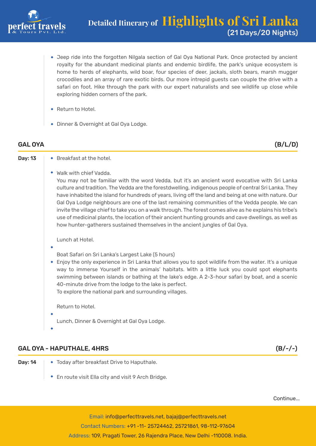

- Jeep ride into the forgotten Nilgala section of Gal Oya National Park. Once protected by ancient royalty for the abundant medicinal plants and endemic birdlife, the park's unique ecosystem is home to herds of elephants, wild boar, four species of deer, jackals, sloth bears, marsh mugger crocodiles and an array of rare exotic birds. Our more intrepid guests can couple the drive with a safari on foot. Hike through the park with our expert naturalists and see wildlife up close while exploring hidden corners of the park.
- Return to Hotel.
- Dinner & Overnight at Gal Oya Lodge.

## GAL OYA (B/L/D)

- **Day: 13**  $\rightarrow$  Breakfast at the hotel.
	- - Walk with chief Vadda. You may not be familiar with the word Vedda, but it's an ancient word evocative with Sri Lanka culture and tradition. The Vedda are the forestdwelling, indigenous people of central Sri Lanka. They have inhabited the island for hundreds of years, living off the land and being at one with nature. Our Gal Oya Lodge neighbours are one of the last remaining communities of the Vedda people. We can invite the village chief to take you on a walk through. The forest comes alive as he explains his tribe's use of medicinal plants, the location of their ancient hunting grounds and cave dwellings, as well as

how hunter-gatherers sustained themselves in the ancient jungles of Gal Oya.

Lunch at Hotel.

- - Boat Safari on Sri Lanka's Largest Lake (5 hours)
- Enjoy the only experience in Sri Lanka that allows you to spot wildlife from the water. It's a unique way to immerse Yourself in the animals' habitats. With a little luck you could spot elephants swimming between islands or bathing at the lake's edge. A 2-3-hour safari by boat, and a scenic 40-minute drive from the lodge to the lake is perfect.

To explore the national park and surrounding villages.

Return to Hotel.

Lunch, Dinner & Overnight at Gal Oya Lodge.

### GAL OYA - HAPUTHALE, 4HRS (B/-/-)

- **Day: 14**  $\rightarrow$  Today after breakfast Drive to Haputhale.
	- En route visit Ella city and visit 9 Arch Bridge.

Continue...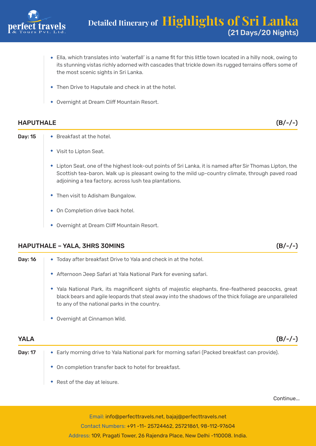

- Ella, which translates into 'waterfall' is a name fit for this little town located in a hilly nook, owing to its stunning vistas richly adorned with cascades that trickle down its rugged terrains offers some of the most scenic sights in Sri Lanka.
- Then Drive to Haputale and check in at the hotel.
- Overnight at Dream Cliff Mountain Resort.

#### HAPUTHALE (B/-/-)

- **Day: 15**  $\rightarrow$  Breakfast at the hotel.
	- Visit to Lipton Seat.
	- Lipton Seat, one of the highest look-out points of Sri Lanka, it is named after Sir Thomas Lipton, the Scottish tea-baron. Walk up is pleasant owing to the mild up-country climate, through paved road adjoining a tea factory, across lush tea plantations.
	- Then visit to Adisham Bungalow.
	- On Completion drive back hotel.
	- Overnight at Dream Cliff Mountain Resort.

### HAPUTHALE – YALA, 3HRS 30MINS (B/-/-)

Day: 16 |  $\rightarrow$  Today after breakfast Drive to Yala and check in at the hotel. Afternoon Jeep Safari at Yala National Park for evening safari. Yala National Park, its magnificent sights of majestic elephants, fine-feathered peacocks, great black bears and agile leopards that steal away into the shadows of the thick foliage are unparalleled to any of the national parks in the country. Overnight at Cinnamon Wild.

YALA (B/-/-)

- **Day: 17**  $\rightarrow$  Early morning drive to Yala National park for morning safari (Packed breakfast can provide).
	- On completion transfer back to hotel for breakfast.
	- Rest of the day at leisure.

Continue...